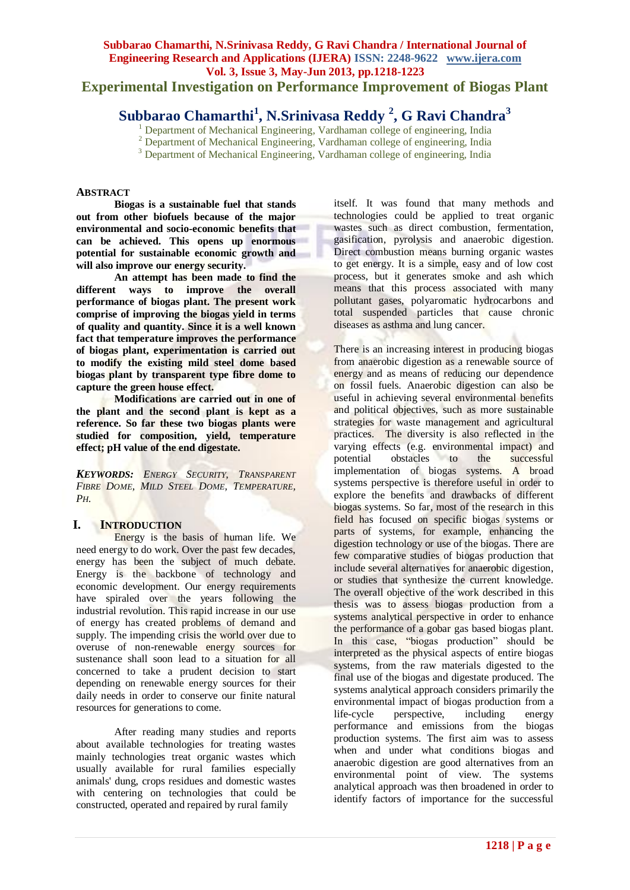**Experimental Investigation on Performance Improvement of Biogas Plant**

# **Subbarao Chamarthi<sup>1</sup> , N.Srinivasa Reddy <sup>2</sup> , G Ravi Chandra<sup>3</sup>**

<sup>1</sup> Department of Mechanical Engineering, Vardhaman college of engineering, India

<sup>2</sup> Department of Mechanical Engineering, Vardhaman college of engineering, India

<sup>3</sup> Department of Mechanical Engineering, Vardhaman college of engineering, India

#### **ABSTRACT**

**Biogas is a sustainable fuel that stands out from other biofuels because of the major environmental and socio-economic benefits that can be achieved. This opens up enormous potential for sustainable economic growth and will also improve our energy security.**

**An attempt has been made to find the different ways to improve the overall performance of biogas plant. The present work comprise of improving the biogas yield in terms of quality and quantity. Since it is a well known fact that temperature improves the performance of biogas plant, experimentation is carried out to modify the existing mild steel dome based biogas plant by transparent type fibre dome to capture the green house effect.**

**Modifications are carried out in one of the plant and the second plant is kept as a reference. So far these two biogas plants were studied for composition, yield, temperature effect; pH value of the end digestate.**

*KEYWORDS: ENERGY SECURITY, TRANSPARENT FIBRE DOME, MILD STEEL DOME, TEMPERATURE, PH.*

#### **I. INTRODUCTION**

Energy is the basis of human life. We need energy to do work. Over the past few decades, energy has been the subject of much debate. Energy is the backbone of technology and economic development. Our energy requirements have spiraled over the years following the industrial revolution. This rapid increase in our use of energy has created problems of demand and supply. The impending crisis the world over due to overuse of non-renewable energy sources for sustenance shall soon lead to a situation for all concerned to take a prudent decision to start depending on renewable energy sources for their daily needs in order to conserve our finite natural resources for generations to come.

After reading many studies and reports about available technologies for treating wastes mainly technologies treat organic wastes which usually available for rural families especially animals' dung, crops residues and domestic wastes with centering on technologies that could be constructed, operated and repaired by rural family

itself. It was found that many methods and technologies could be applied to treat organic wastes such as direct combustion, fermentation, gasification, pyrolysis and anaerobic digestion. Direct combustion means burning organic wastes to get energy. It is a simple, easy and of low cost process, but it generates smoke and ash which means that this process associated with many pollutant gases, polyaromatic hydrocarbons and total suspended particles that cause chronic diseases as asthma and lung cancer.

There is an increasing interest in producing biogas from anaerobic digestion as a renewable source of energy and as means of reducing our dependence on fossil fuels. Anaerobic digestion can also be useful in achieving several environmental benefits and political objectives, such as more sustainable strategies for waste management and agricultural practices. The diversity is also reflected in the varying effects (e.g. environmental impact) and<br>potential obstacles to the successful potential obstacles to the implementation of biogas systems. A broad systems perspective is therefore useful in order to explore the benefits and drawbacks of different biogas systems. So far, most of the research in this field has focused on specific biogas systems or parts of systems, for example, enhancing the digestion technology or use of the biogas. There are few comparative studies of biogas production that include several alternatives for anaerobic digestion, or studies that synthesize the current knowledge. The overall objective of the work described in this thesis was to assess biogas production from a systems analytical perspective in order to enhance the performance of a gobar gas based biogas plant. In this case, "biogas production" should be interpreted as the physical aspects of entire biogas systems, from the raw materials digested to the final use of the biogas and digestate produced. The systems analytical approach considers primarily the environmental impact of biogas production from a life-cycle perspective, including energy performance and emissions from the biogas production systems. The first aim was to assess when and under what conditions biogas and anaerobic digestion are good alternatives from an environmental point of view. The systems analytical approach was then broadened in order to identify factors of importance for the successful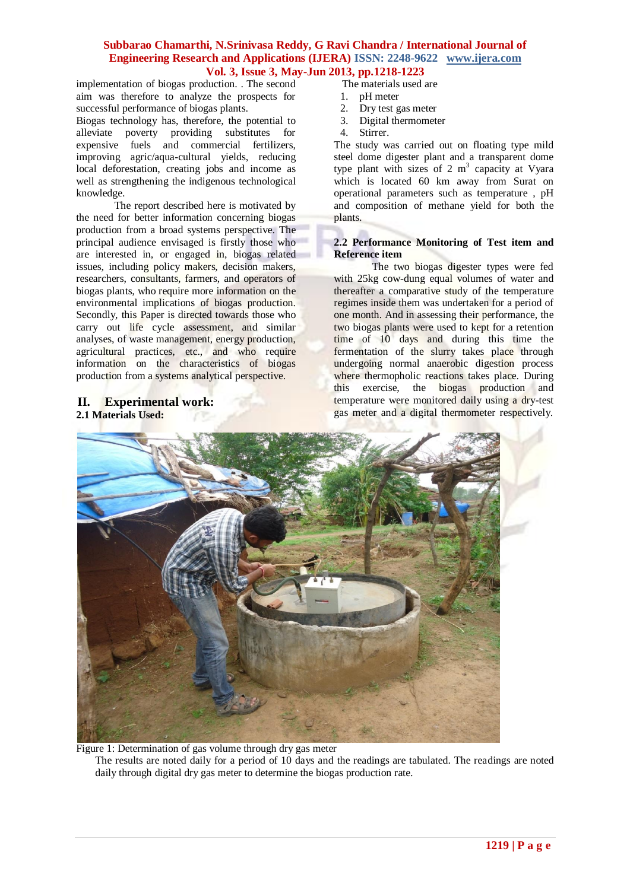implementation of biogas production. . The second aim was therefore to analyze the prospects for successful performance of biogas plants.

Biogas technology has, therefore, the potential to alleviate poverty providing substitutes for expensive fuels and commercial fertilizers, improving agric/aqua-cultural yields, reducing local deforestation, creating jobs and income as well as strengthening the indigenous technological knowledge.

The report described here is motivated by the need for better information concerning biogas production from a broad systems perspective. The principal audience envisaged is firstly those who are interested in, or engaged in, biogas related issues, including policy makers, decision makers, researchers, consultants, farmers, and operators of biogas plants, who require more information on the environmental implications of biogas production. Secondly, this Paper is directed towards those who carry out life cycle assessment, and similar analyses, of waste management, energy production, agricultural practices, etc., and who require information on the characteristics of biogas production from a systems analytical perspective.

# **II. Experimental work: 2.1 Materials Used:**

- The materials used are
- 1. pH meter
- 2. Dry test gas meter
- 3. Digital thermometer
- 4. Stirrer.

The study was carried out on floating type mild steel dome digester plant and a transparent dome type plant with sizes of 2  $m<sup>3</sup>$  capacity at Vyara which is located 60 km away from Surat on operational parameters such as temperature , pH and composition of methane yield for both the plants.

#### **2.2 Performance Monitoring of Test item and Reference item**

The two biogas digester types were fed with 25kg cow-dung equal volumes of water and thereafter a comparative study of the temperature regimes inside them was undertaken for a period of one month. And in assessing their performance, the two biogas plants were used to kept for a retention time of 10 days and during this time the fermentation of the slurry takes place through undergoing normal anaerobic digestion process where thermopholic reactions takes place. During this exercise, the biogas production and temperature were monitored daily using a dry-test gas meter and a digital thermometer respectively.



Figure 1: Determination of gas volume through dry gas meter The results are noted daily for a period of 10 days and the readings are tabulated. The readings are noted daily through digital dry gas meter to determine the biogas production rate.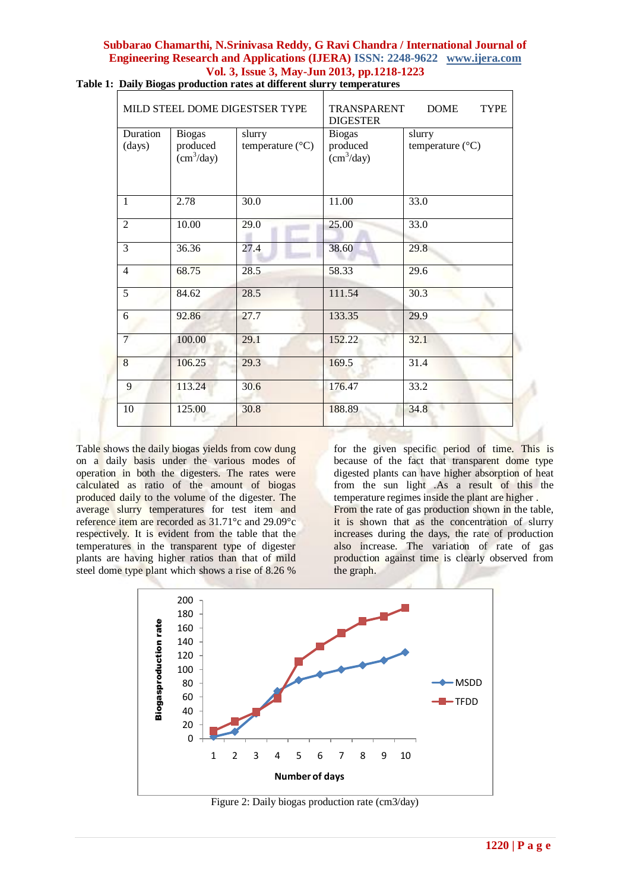| MILD STEEL DOME DIGESTSER TYPE |                                                       |                                     | <b>DOME</b><br><b>TYPE</b><br><b>TRANSPARENT</b><br><b>DIGESTER</b> |                                     |
|--------------------------------|-------------------------------------------------------|-------------------------------------|---------------------------------------------------------------------|-------------------------------------|
| Duration<br>(days)             | <b>Biogas</b><br>produced<br>$\text{cm}^3/\text{day}$ | slurry<br>temperature $(^{\circ}C)$ | <b>Biogas</b><br>produced<br>$\text{cm}^3/\text{day}$               | slurry<br>temperature $(^{\circ}C)$ |
| $\mathbf{1}$                   | 2.78                                                  | 30.0                                | 11.00                                                               | 33.0                                |
| $\overline{2}$                 | 10.00                                                 | 29.0                                | 25.00                                                               | 33.0                                |
| 3                              | 36.36                                                 | 27.4                                | 38.60                                                               | 29.8                                |
| $\overline{4}$                 | 68.75                                                 | 28.5                                | 58.33                                                               | 29.6                                |
| 5                              | 84.62                                                 | 28.5                                | 111.54                                                              | 30.3                                |
| 6                              | 92.86                                                 | 27.7                                | 133.35                                                              | 29.9                                |
| $\overline{7}$                 | 100.00                                                | 29.1                                | 152.22                                                              | 32.1                                |
| 8                              | 106.25                                                | 29.3                                | 169.5                                                               | 31.4                                |
| 9                              | 113.24                                                | 30.6                                | 176.47                                                              | 33.2                                |
| 10                             | 125.00                                                | 30.8                                | 188.89                                                              | 34.8                                |

**Table 1: Daily Biogas production rates at different slurry temperatures**

Table shows the daily biogas yields from cow dung on a daily basis under the various modes of operation in both the digesters. The rates were calculated as ratio of the amount of biogas produced daily to the volume of the digester. The average slurry temperatures for test item and reference item are recorded as 31.71°c and 29.09°c respectively. It is evident from the table that the temperatures in the transparent type of digester plants are having higher ratios than that of mild steel dome type plant which shows a rise of 8.26 %

for the given specific period of time. This is because of the fact that transparent dome type digested plants can have higher absorption of heat from the sun light .As a result of this the temperature regimes inside the plant are higher . From the rate of gas production shown in the table, it is shown that as the concentration of slurry increases during the days, the rate of production also increase. The variation of rate of gas production against time is clearly observed from the graph.



Figure 2: Daily biogas production rate (cm3/day)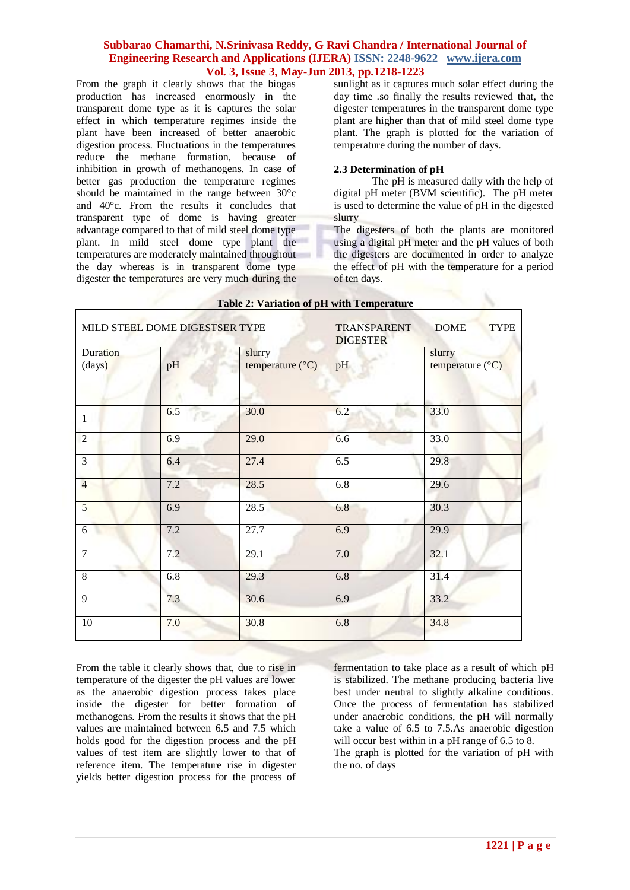From the graph it clearly shows that the biogas production has increased enormously in the transparent dome type as it is captures the solar effect in which temperature regimes inside the plant have been increased of better anaerobic digestion process. Fluctuations in the temperatures reduce the methane formation, because of inhibition in growth of methanogens. In case of better gas production the temperature regimes should be maintained in the range between 30°c and 40°c. From the results it concludes that transparent type of dome is having greater advantage compared to that of mild steel dome type plant. In mild steel dome type plant the temperatures are moderately maintained throughout the day whereas is in transparent dome type digester the temperatures are very much during the sunlight as it captures much solar effect during the day time .so finally the results reviewed that, the digester temperatures in the transparent dome type plant are higher than that of mild steel dome type plant. The graph is plotted for the variation of temperature during the number of days.

#### **2.3 Determination of pH**

The pH is measured daily with the help of digital pH meter (BVM scientific). The pH meter is used to determine the value of pH in the digested slurry

The digesters of both the plants are monitored using a digital pH meter and the pH values of both the digesters are documented in order to analyze the effect of pH with the temperature for a period of ten days.

| MILD STEEL DOME DIGESTSER TYPE |           |                            | <b>DOME</b><br><b>TYPE</b><br>TRANSPARENT<br><b>DIGESTER</b> |                                     |
|--------------------------------|-----------|----------------------------|--------------------------------------------------------------|-------------------------------------|
| <b>Duration</b><br>(days)      | pH        | slurry<br>temperature (°C) | pH                                                           | slurry<br>temperature $(^{\circ}C)$ |
| $\mathbf{1}$                   | 6.5<br>r. | 30.0                       | 6.2                                                          | 33.0                                |
| $\overline{2}$                 | 6.9       | 29.0                       | 6.6                                                          | 33.0                                |
| $\overline{3}$                 | 6.4       | 27.4                       | 6.5                                                          | 29.8                                |
| $\overline{4}$                 | 7.2       | 28.5                       | 6.8                                                          | 29.6                                |
| $\overline{5}$                 | 6.9       | $\overline{28.5}$          | 6.8                                                          | 30.3                                |
| 6                              | 7.2       | 27.7                       | 6.9                                                          | 29.9                                |
| $\overline{7}$                 | 7.2       | 29.1                       | 7.0                                                          | 32.1                                |
| 8                              | 6.8       | 29.3                       | 6.8                                                          | 31.4                                |
| 9                              | 7.3       | 30.6                       | 6.9                                                          | 33.2                                |
| 10                             | 7.0       | 30.8                       | 6.8                                                          | 34.8                                |

# **Table 2: Variation of pH with Temperature**

From the table it clearly shows that, due to rise in temperature of the digester the pH values are lower as the anaerobic digestion process takes place inside the digester for better formation of methanogens. From the results it shows that the pH values are maintained between 6.5 and 7.5 which holds good for the digestion process and the pH values of test item are slightly lower to that of reference item. The temperature rise in digester yields better digestion process for the process of

fermentation to take place as a result of which pH is stabilized. The methane producing bacteria live best under neutral to slightly alkaline conditions. Once the process of fermentation has stabilized under anaerobic conditions, the pH will normally take a value of 6.5 to 7.5.As anaerobic digestion will occur best within in a pH range of 6.5 to 8. The graph is plotted for the variation of pH with the no. of days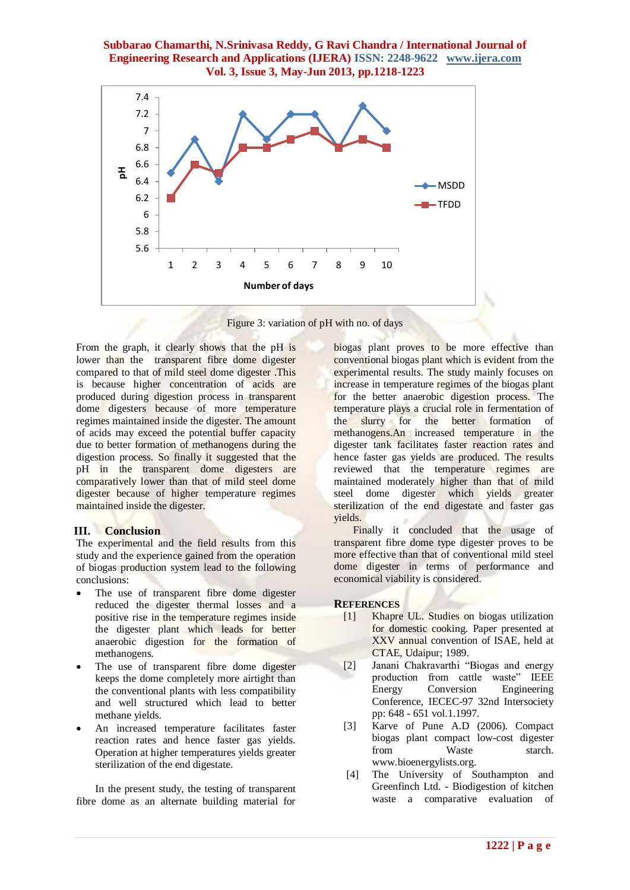

Figure 3: variation of pH with no. of days

From the graph, it clearly shows that the pH is lower than the transparent fibre dome digester compared to that of mild steel dome digester .This is because higher concentration of acids are produced during digestion process in transparent dome digesters because of more temperature regimes maintained inside the digester. The amount of acids may exceed the potential buffer capacity due to better formation of methanogens during the digestion process. So finally it suggested that the pH in the transparent dome digesters are comparatively lower than that of mild steel dome digester because of higher temperature regimes maintained inside the digester.

## **III. Conclusion**

The experimental and the field results from this study and the experience gained from the operation of biogas production system lead to the following conclusions:

- The use of transparent fibre dome digester reduced the digester thermal losses and a positive rise in the temperature regimes inside the digester plant which leads for better anaerobic digestion for the formation of methanogens.
- The use of transparent fibre dome digester keeps the dome completely more airtight than the conventional plants with less compatibility and well structured which lead to better methane yields.
- An increased temperature facilitates faster reaction rates and hence faster gas yields. Operation at higher temperatures yields greater sterilization of the end digestate.

In the present study, the testing of transparent fibre dome as an alternate building material for

biogas plant proves to be more effective than conventional biogas plant which is evident from the experimental results. The study mainly focuses on increase in temperature regimes of the biogas plant for the better anaerobic digestion process. The temperature plays a crucial role in fermentation of the slurry for the better formation of methanogens.An increased temperature in the digester tank facilitates faster reaction rates and hence faster gas yields are produced. The results reviewed that the temperature regimes are maintained moderately higher than that of mild steel dome digester which yields greater sterilization of the end digestate and faster gas yields.

Finally it concluded that the usage of transparent fibre dome type digester proves to be more effective than that of conventional mild steel dome digester in terms of performance and economical viability is considered.

#### **REFERENCES**

- [1] Khapre UL. Studies on biogas utilization for domestic cooking. Paper presented at XXV annual convention of ISAE, held at CTAE, Udaipur; 1989.
- [2] Janani Chakravarthi "Biogas and energy production from cattle waste" IEEE<br>Energy Conversion Engineering Conversion Engineering Conference, IECEC-97 32nd Intersociety pp: 648 - 651 vol.1.1997.
- [3] Karve of Pune A.D (2006). Compact biogas plant compact low-cost digester from Waste starch. www.bioenergylists.org.
- [4] The University of Southampton and Greenfinch Ltd. - Biodigestion of kitchen waste a comparative evaluation of